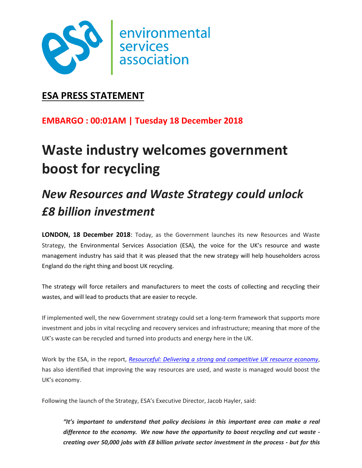

## **ESA PRESS STATEMENT**

### **EMBARGO : 00:01AM | Tuesday 18 December 2018**

# **Waste industry welcomes government boost for recycling**

## *New Resources and Waste Strategy could unlock £8 billion investment*

**LONDON, 18 December 2018**: Today, as the Government launches its new Resources and Waste Strategy, the Environmental Services Association (ESA), the voice for the UK's resource and waste management industry has said that it was pleased that the new strategy will help householders across England do the right thing and boost UK recycling.

The strategy will force retailers and manufacturers to meet the costs of collecting and recycling their wastes, and will lead to products that are easier to recycle.

If implemented well, the new Government strategy could set a long-term framework that supports more investment and jobs in vital recycling and recovery services and infrastructure; meaning that more of the UK's waste can be recycled and turned into products and energy here in the UK.

Work by the ESA, in the report, *[Resourceful: Delivering a strong and competitive UK resource economy](http://www.esauk.org/application/files/1015/3607/2368/20160801_RESOURCEFUL_Delivering_a_strong_and_competitive_UK_resource_economy.pdf)*, has also identified that improving the way resources are used, and waste is managed would boost the UK's economy.

Following the launch of the Strategy, ESA's Executive Director, Jacob Hayler, said:

*"It's important to understand that policy decisions in this important area can make a real difference to the economy. We now have the opportunity to boost recycling and cut waste creating over 50,000 jobs with £8 billion private sector investment in the process - but for this*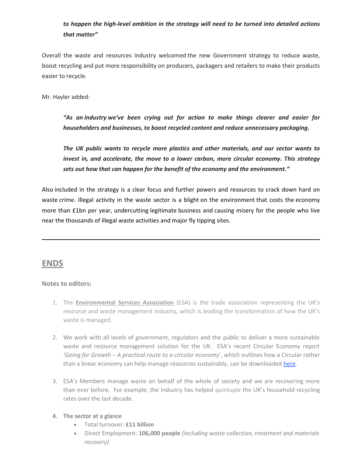#### *to happen the high-level ambition in the strategy will need to be turned into detailed actions that matter"*

Overall the waste and resources industry welcomed the new Government strategy to reduce waste, boost recycling and put more responsibility on producers, packagers and retailers to make their products easier to recycle.

Mr. Hayler added:

*"As an industry we've been crying out for action to make things clearer and easier for householders and businesses, to boost recycled content and reduce unnecessary packaging.* 

*The UK public wants to recycle more plastics and other materials, and our sector wants to invest in, and accelerate, the move to a lower carbon, more circular economy. This strategy sets out how that can happen for the benefit of the economy and the environment."*

Also included in the strategy is a clear focus and further powers and resources to crack down hard on waste crime. Illegal activity in the waste sector is a blight on the environment that costs the economy more than £1bn per year, undercutting legitimate business and causing misery for the people who live near the thousands of illegal waste activities and major fly tipping sites.

#### **ENDS**

#### **Notes to editors:**

- 1. The **Environmental Services Association** (ESA) is the trade association representing the UK's resource and waste management industry, which is leading the transformation of how the UK's waste is managed.
- 2. We work with all levels of government, regulators and the public to deliver a more sustainable waste and resource management solution for the UK. ESA's recent Circular Economy report *'Going for Growth – A practical route to a circular economy*', which outlines how a Circular rather than a linear economy can help manage resources sustainably, can be downloaded [here.](http://www.esauk.org/esa_reports/Circular_Economy_Report_FINAL_High_Res_For_Release.pdf)
- 3. ESA's Members manage waste on behalf of the whole of society and we are recovering more than ever before. For example, the industry has helped quintuple the UK's household recycling rates over the last decade.

#### **4. The sector at a glance**

- Total turnover: **£11 billion**
- Direct Employment: **106,000 people** *(including waste collection, treatment and materials recovery)*